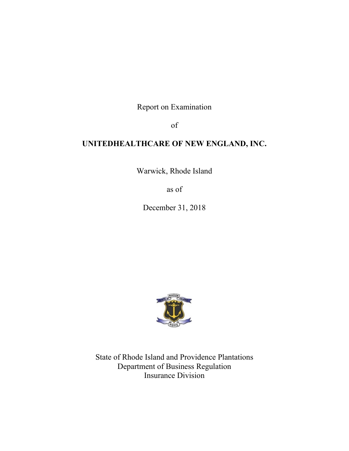Report on Examination

of

# **UNITEDHEALTHCARE OF NEW ENGLAND, INC.**

Warwick, Rhode Island

as of

December 31, 2018



State of Rhode Island and Providence Plantations Department of Business Regulation Insurance Division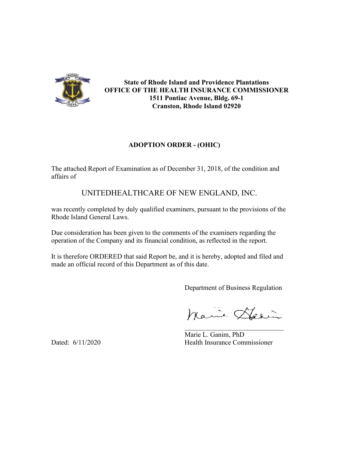

**State of Rhode Island and Providence Plantations OFFICE OF THE HEALTH INSURANCE COMMISSIONER 1511 Pontiac Avenue, Bldg. 69-1 Cranston, Rhode Island 02920** 

## **ADOPTION ORDER - (OHIC)**

The attached Report of Examination as of December 31, 2018, of the condition and affairs of

# UNITEDHEALTHCARE OF NEW ENGLAND, INC.

was recently completed by duly qualified examiners, pursuant to the provisions of the Rhode Island General Laws.

Due consideration has been given to the comments of the examiners regarding the operation of the Company and its financial condition, as reflected in the report.

It is therefore ORDERED that said Report be, and it is hereby, adopted and filed and made an official record of this Department as of this date.

Department of Business Regulation

Marie Harin

 Marie L. Ganim, PhD Dated: 6/11/2020 Health Insurance Commissioner

\_\_\_\_\_\_\_\_\_\_\_\_\_\_\_\_\_\_\_\_\_\_\_\_\_\_\_\_\_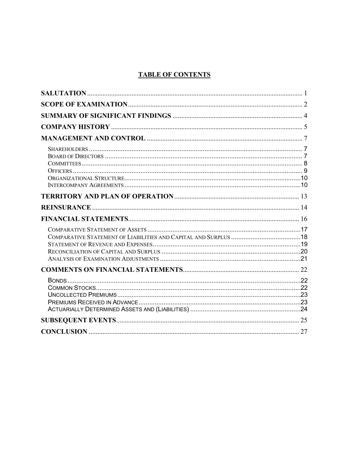## **TABLE OF CONTENTS**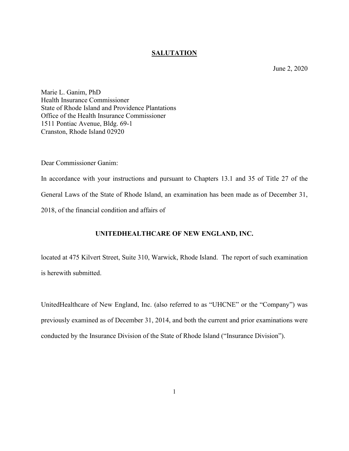### **SALUTATION**

June 2, 2020

<span id="page-3-0"></span>Marie L. Ganim, PhD Health Insurance Commissioner State of Rhode Island and Providence Plantations Office of the Health Insurance Commissioner 1511 Pontiac Avenue, Bldg. 69-1 Cranston, Rhode Island 02920

Dear Commissioner Ganim:

In accordance with your instructions and pursuant to Chapters 13.1 and 35 of Title 27 of the General Laws of the State of Rhode Island, an examination has been made as of December 31, 2018, of the financial condition and affairs of

### **UNITEDHEALTHCARE OF NEW ENGLAND, INC.**

located at 475 Kilvert Street, Suite 310, Warwick, Rhode Island. The report of such examination is herewith submitted.

UnitedHealthcare of New England, Inc. (also referred to as "UHCNE" or the "Company") was previously examined as of December 31, 2014, and both the current and prior examinations were conducted by the Insurance Division of the State of Rhode Island ("Insurance Division").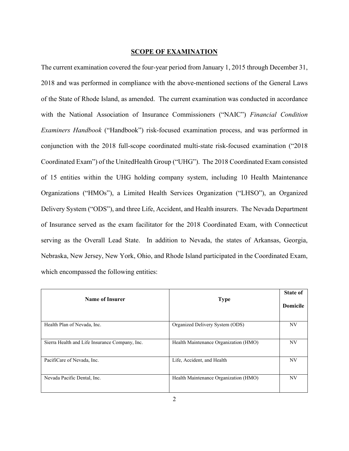#### **SCOPE OF EXAMINATION**

<span id="page-4-0"></span>The current examination covered the four-year period from January 1, 2015 through December 31, 2018 and was performed in compliance with the above-mentioned sections of the General Laws of the State of Rhode Island, as amended. The current examination was conducted in accordance with the National Association of Insurance Commissioners ("NAIC") *Financial Condition Examiners Handbook* ("Handbook") risk-focused examination process, and was performed in conjunction with the 2018 full-scope coordinated multi-state risk-focused examination ("2018 Coordinated Exam") of the UnitedHealth Group ("UHG"). The 2018 Coordinated Exam consisted of 15 entities within the UHG holding company system, including 10 Health Maintenance Organizations ("HMOs"), a Limited Health Services Organization ("LHSO"), an Organized Delivery System ("ODS"), and three Life, Accident, and Health insurers. The Nevada Department of Insurance served as the exam facilitator for the 2018 Coordinated Exam, with Connecticut serving as the Overall Lead State. In addition to Nevada, the states of Arkansas, Georgia, Nebraska, New Jersey, New York, Ohio, and Rhode Island participated in the Coordinated Exam, which encompassed the following entities:

| Name of Insurer                                | <b>Type</b>                           | <b>State of</b><br><b>Domicile</b> |
|------------------------------------------------|---------------------------------------|------------------------------------|
| Health Plan of Nevada, Inc.                    | Organized Delivery System (ODS)       | NV                                 |
| Sierra Health and Life Insurance Company, Inc. | Health Maintenance Organization (HMO) | NV                                 |
| PacifiCare of Nevada, Inc.                     | Life, Accident, and Health            | NV                                 |
| Nevada Pacific Dental, Inc.                    | Health Maintenance Organization (HMO) | NV                                 |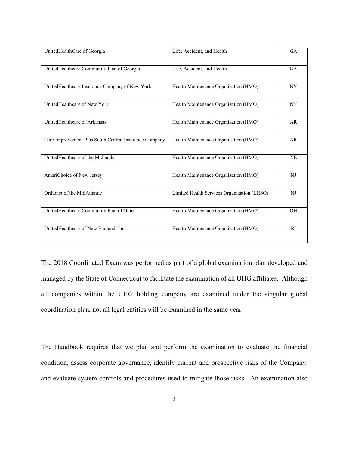| UnitedHealthCare of Georgia                           | Life, Accident, and Health                  | <b>GA</b> |
|-------------------------------------------------------|---------------------------------------------|-----------|
| UnitedHealthcare Community Plan of Georgia            | Life, Accident, and Health                  | <b>GA</b> |
| UnitedHealthcare Insurance Company of New York        | Health Maintenance Organization (HMO)       | <b>NY</b> |
| UnitedHealthcare of New York                          | Health Maintenance Organization (HMO)       | NY        |
| UnitedHealthcare of Arkansas                          | Health Maintenance Organization (HMO)       | AR        |
| Care Improvement Plus South Central Insurance Company | Health Maintenance Organization (HMO)       | AR        |
| UnitedHealthcare of the Midlands                      | Health Maintenance Organization (HMO)       | <b>NE</b> |
| AmeriChoice of New Jersey                             | Health Maintenance Organization (HMO)       | NJ        |
| Orthonet of the MidAtlantic                           | Limited Health Services Organization (LHSO) | NJ        |
| UnitedHealthcare Community Plan of Ohio               | Health Maintenance Organization (HMO)       | OH        |
| UnitedHealthcare of New England, Inc.                 | Health Maintenance Organization (HMO)       | <b>RI</b> |

The 2018 Coordinated Exam was performed as part of a global examination plan developed and managed by the State of Connecticut to facilitate the examination of all UHG affiliates. Although all companies within the UHG holding company are examined under the singular global coordination plan, not all legal entities will be examined in the same year.

The Handbook requires that we plan and perform the examination to evaluate the financial condition, assess corporate governance, identify current and prospective risks of the Company, and evaluate system controls and procedures used to mitigate those risks. An examination also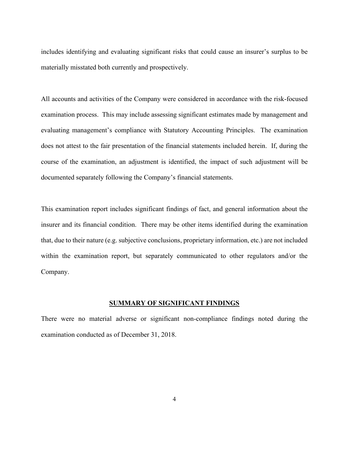includes identifying and evaluating significant risks that could cause an insurer's surplus to be materially misstated both currently and prospectively.

All accounts and activities of the Company were considered in accordance with the risk-focused examination process. This may include assessing significant estimates made by management and evaluating management's compliance with Statutory Accounting Principles. The examination does not attest to the fair presentation of the financial statements included herein. If, during the course of the examination, an adjustment is identified, the impact of such adjustment will be documented separately following the Company's financial statements.

This examination report includes significant findings of fact, and general information about the insurer and its financial condition. There may be other items identified during the examination that, due to their nature (e.g. subjective conclusions, proprietary information, etc.) are not included within the examination report, but separately communicated to other regulators and/or the Company.

### **SUMMARY OF SIGNIFICANT FINDINGS**

<span id="page-6-0"></span>There were no material adverse or significant non-compliance findings noted during the examination conducted as of December 31, 2018.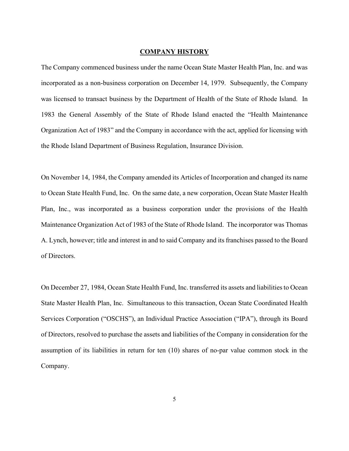#### **COMPANY HISTORY**

<span id="page-7-0"></span>The Company commenced business under the name Ocean State Master Health Plan, Inc. and was incorporated as a non-business corporation on December 14, 1979. Subsequently, the Company was licensed to transact business by the Department of Health of the State of Rhode Island. In 1983 the General Assembly of the State of Rhode Island enacted the "Health Maintenance Organization Act of 1983" and the Company in accordance with the act, applied for licensing with the Rhode Island Department of Business Regulation, Insurance Division.

On November 14, 1984, the Company amended its Articles of Incorporation and changed its name to Ocean State Health Fund, Inc. On the same date, a new corporation, Ocean State Master Health Plan, Inc., was incorporated as a business corporation under the provisions of the Health Maintenance Organization Act of 1983 of the State of Rhode Island. The incorporator was Thomas A. Lynch, however; title and interest in and to said Company and its franchises passed to the Board of Directors.

On December 27, 1984, Ocean State Health Fund, Inc. transferred its assets and liabilities to Ocean State Master Health Plan, Inc. Simultaneous to this transaction, Ocean State Coordinated Health Services Corporation ("OSCHS"), an Individual Practice Association ("IPA"), through its Board of Directors, resolved to purchase the assets and liabilities of the Company in consideration for the assumption of its liabilities in return for ten (10) shares of no-par value common stock in the Company.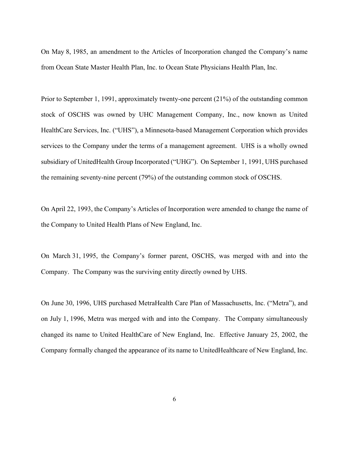On May 8, 1985, an amendment to the Articles of Incorporation changed the Company's name from Ocean State Master Health Plan, Inc. to Ocean State Physicians Health Plan, Inc.

Prior to September 1, 1991, approximately twenty-one percent (21%) of the outstanding common stock of OSCHS was owned by UHC Management Company, Inc., now known as United HealthCare Services, Inc. ("UHS"), a Minnesota-based Management Corporation which provides services to the Company under the terms of a management agreement. UHS is a wholly owned subsidiary of UnitedHealth Group Incorporated ("UHG"). On September 1, 1991, UHS purchased the remaining seventy-nine percent (79%) of the outstanding common stock of OSCHS.

On April 22, 1993, the Company's Articles of Incorporation were amended to change the name of the Company to United Health Plans of New England, Inc.

On March 31, 1995, the Company's former parent, OSCHS, was merged with and into the Company. The Company was the surviving entity directly owned by UHS.

On June 30, 1996, UHS purchased MetraHealth Care Plan of Massachusetts, Inc. ("Metra"), and on July 1, 1996, Metra was merged with and into the Company. The Company simultaneously changed its name to United HealthCare of New England, Inc. Effective January 25, 2002, the Company formally changed the appearance of its name to UnitedHealthcare of New England, Inc.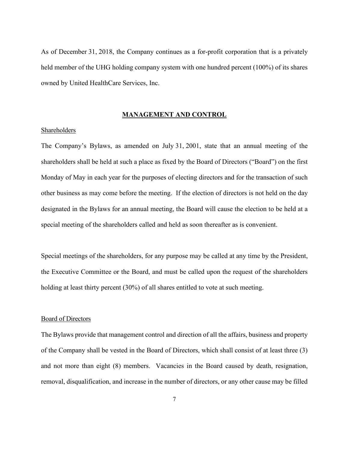As of December 31, 2018, the Company continues as a for-profit corporation that is a privately held member of the UHG holding company system with one hundred percent (100%) of its shares owned by United HealthCare Services, Inc.

#### **MANAGEMENT AND CONTROL**

#### <span id="page-9-1"></span><span id="page-9-0"></span>Shareholders

The Company's Bylaws, as amended on July 31, 2001, state that an annual meeting of the shareholders shall be held at such a place as fixed by the Board of Directors ("Board") on the first Monday of May in each year for the purposes of electing directors and for the transaction of such other business as may come before the meeting. If the election of directors is not held on the day designated in the Bylaws for an annual meeting, the Board will cause the election to be held at a special meeting of the shareholders called and held as soon thereafter as is convenient.

Special meetings of the shareholders, for any purpose may be called at any time by the President, the Executive Committee or the Board, and must be called upon the request of the shareholders holding at least thirty percent (30%) of all shares entitled to vote at such meeting.

#### <span id="page-9-2"></span>Board of Directors

The Bylaws provide that management control and direction of all the affairs, business and property of the Company shall be vested in the Board of Directors, which shall consist of at least three (3) and not more than eight (8) members. Vacancies in the Board caused by death, resignation, removal, disqualification, and increase in the number of directors, or any other cause may be filled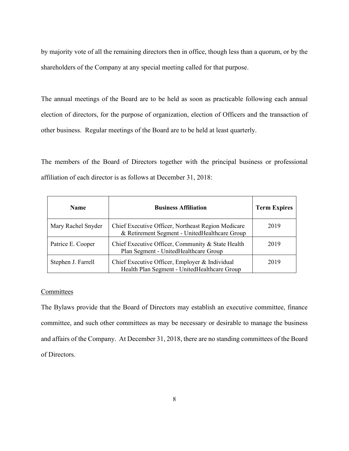by majority vote of all the remaining directors then in office, though less than a quorum, or by the shareholders of the Company at any special meeting called for that purpose.

The annual meetings of the Board are to be held as soon as practicable following each annual election of directors, for the purpose of organization, election of Officers and the transaction of other business. Regular meetings of the Board are to be held at least quarterly.

The members of the Board of Directors together with the principal business or professional affiliation of each director is as follows at December 31, 2018:

| <b>Name</b>        | <b>Business Affiliation</b>                                                                         | <b>Term Expires</b> |
|--------------------|-----------------------------------------------------------------------------------------------------|---------------------|
| Mary Rachel Snyder | Chief Executive Officer, Northeast Region Medicare<br>& Retirement Segment - UnitedHealthcare Group | 2019                |
| Patrice E. Cooper  | Chief Executive Officer, Community & State Health<br>Plan Segment - United Healthcare Group         | 2019                |
| Stephen J. Farrell | Chief Executive Officer, Employer & Individual<br>Health Plan Segment - UnitedHealthcare Group      | 2019                |

#### <span id="page-10-0"></span>**Committees**

The Bylaws provide that the Board of Directors may establish an executive committee, finance committee, and such other committees as may be necessary or desirable to manage the business and affairs of the Company. At December 31, 2018, there are no standing committees of the Board of Directors.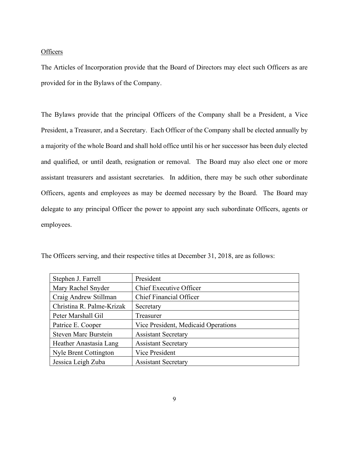#### <span id="page-11-0"></span>**Officers**

The Articles of Incorporation provide that the Board of Directors may elect such Officers as are provided for in the Bylaws of the Company.

The Bylaws provide that the principal Officers of the Company shall be a President, a Vice President, a Treasurer, and a Secretary. Each Officer of the Company shall be elected annually by a majority of the whole Board and shall hold office until his or her successor has been duly elected and qualified, or until death, resignation or removal. The Board may also elect one or more assistant treasurers and assistant secretaries. In addition, there may be such other subordinate Officers, agents and employees as may be deemed necessary by the Board. The Board may delegate to any principal Officer the power to appoint any such subordinate Officers, agents or employees.

| Stephen J. Farrell          | President                           |
|-----------------------------|-------------------------------------|
| Mary Rachel Snyder          | Chief Executive Officer             |
| Craig Andrew Stillman       | <b>Chief Financial Officer</b>      |
| Christina R. Palme-Krizak   | Secretary                           |
| Peter Marshall Gil          | Treasurer                           |
| Patrice E. Cooper           | Vice President, Medicaid Operations |
| <b>Steven Marc Burstein</b> | <b>Assistant Secretary</b>          |
| Heather Anastasia Lang      | <b>Assistant Secretary</b>          |
| Nyle Brent Cottington       | Vice President                      |
| Jessica Leigh Zuba          | <b>Assistant Secretary</b>          |

The Officers serving, and their respective titles at December 31, 2018, are as follows: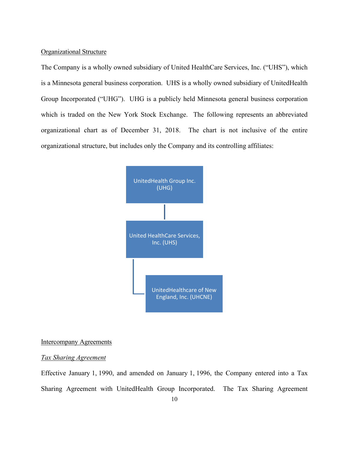#### <span id="page-12-0"></span>Organizational Structure

The Company is a wholly owned subsidiary of United HealthCare Services, Inc. ("UHS"), which is a Minnesota general business corporation. UHS is a wholly owned subsidiary of UnitedHealth Group Incorporated ("UHG"). UHG is a publicly held Minnesota general business corporation which is traded on the New York Stock Exchange. The following represents an abbreviated organizational chart as of December 31, 2018. The chart is not inclusive of the entire organizational structure, but includes only the Company and its controlling affiliates:



#### <span id="page-12-1"></span>Intercompany Agreements

#### *Tax Sharing Agreement*

Effective January 1, 1990, and amended on January 1, 1996, the Company entered into a Tax Sharing Agreement with UnitedHealth Group Incorporated. The Tax Sharing Agreement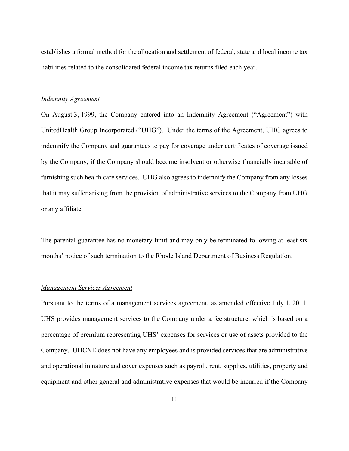establishes a formal method for the allocation and settlement of federal, state and local income tax liabilities related to the consolidated federal income tax returns filed each year.

#### *Indemnity Agreement*

On August 3, 1999, the Company entered into an Indemnity Agreement ("Agreement") with UnitedHealth Group Incorporated ("UHG"). Under the terms of the Agreement, UHG agrees to indemnify the Company and guarantees to pay for coverage under certificates of coverage issued by the Company, if the Company should become insolvent or otherwise financially incapable of furnishing such health care services. UHG also agrees to indemnify the Company from any losses that it may suffer arising from the provision of administrative services to the Company from UHG or any affiliate.

The parental guarantee has no monetary limit and may only be terminated following at least six months' notice of such termination to the Rhode Island Department of Business Regulation.

#### *Management Services Agreement*

Pursuant to the terms of a management services agreement, as amended effective July 1, 2011, UHS provides management services to the Company under a fee structure, which is based on a percentage of premium representing UHS' expenses for services or use of assets provided to the Company. UHCNE does not have any employees and is provided services that are administrative and operational in nature and cover expenses such as payroll, rent, supplies, utilities, property and equipment and other general and administrative expenses that would be incurred if the Company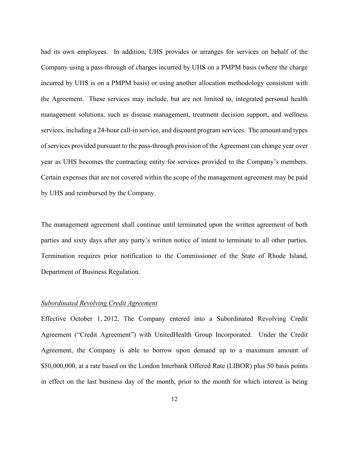had its own employees. In addition, UHS provides or arranges for services on behalf of the Company using a pass-through of charges incurred by UHS on a PMPM basis (where the charge incurred by UHS is on a PMPM basis) or using another allocation methodology consistent with the Agreement. These services may include, but are not limited to, integrated personal health management solutions, such as disease management, treatment decision support, and wellness services, including a 24-hour call-in service, and discount program services. The amount and types of services provided pursuant to the pass-through provision of the Agreement can change year over year as UHS becomes the contracting entity for services provided to the Company's members. Certain expenses that are not covered within the scope of the management agreement may be paid by UHS and reimbursed by the Company.

The management agreement shall continue until terminated upon the written agreement of both parties and sixty days after any party's written notice of intent to terminate to all other parties. Termination requires prior notification to the Commissioner of the State of Rhode Island, Department of Business Regulation.

#### *Subordinated Revolving Credit Agreement*

Effective October 1, 2012, The Company entered into a Subordinated Revolving Credit Agreement ("Credit Agreement") with UnitedHealth Group Incorporated. Under the Credit Agreement, the Company is able to borrow upon demand up to a maximum amount of \$50,000,000, at a rate based on the London Interbank Offered Rate (LIBOR) plus 50 basis points in effect on the last business day of the month, prior to the month for which interest is being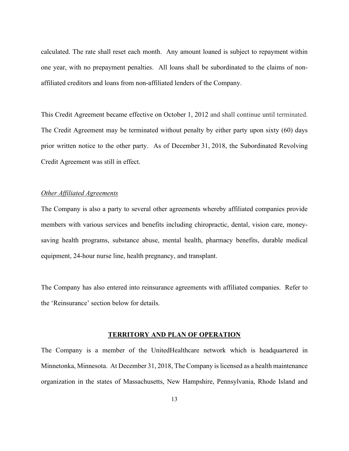calculated. The rate shall reset each month. Any amount loaned is subject to repayment within one year, with no prepayment penalties. All loans shall be subordinated to the claims of nonaffiliated creditors and loans from non-affiliated lenders of the Company.

This Credit Agreement became effective on October 1, 2012 and shall continue until terminated. The Credit Agreement may be terminated without penalty by either party upon sixty (60) days prior written notice to the other party. As of December 31, 2018, the Subordinated Revolving Credit Agreement was still in effect.

#### *Other Affiliated Agreements*

The Company is also a party to several other agreements whereby affiliated companies provide members with various services and benefits including chiropractic, dental, vision care, moneysaving health programs, substance abuse, mental health, pharmacy benefits, durable medical equipment, 24-hour nurse line, health pregnancy, and transplant.

The Company has also entered into reinsurance agreements with affiliated companies. Refer to the 'Reinsurance' section below for details.

#### **TERRITORY AND PLAN OF OPERATION**

<span id="page-15-0"></span>The Company is a member of the UnitedHealthcare network which is headquartered in Minnetonka, Minnesota. At December 31, 2018, The Company is licensed as a health maintenance organization in the states of Massachusetts, New Hampshire, Pennsylvania, Rhode Island and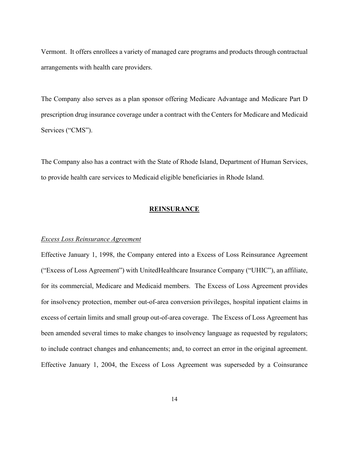Vermont. It offers enrollees a variety of managed care programs and products through contractual arrangements with health care providers.

The Company also serves as a plan sponsor offering Medicare Advantage and Medicare Part D prescription drug insurance coverage under a contract with the Centers for Medicare and Medicaid Services ("CMS").

The Company also has a contract with the State of Rhode Island, Department of Human Services, to provide health care services to Medicaid eligible beneficiaries in Rhode Island.

#### **REINSURANCE**

#### <span id="page-16-0"></span>*Excess Loss Reinsurance Agreement*

Effective January 1, 1998, the Company entered into a Excess of Loss Reinsurance Agreement ("Excess of Loss Agreement") with UnitedHealthcare Insurance Company ("UHIC"), an affiliate, for its commercial, Medicare and Medicaid members. The Excess of Loss Agreement provides for insolvency protection, member out-of-area conversion privileges, hospital inpatient claims in excess of certain limits and small group out-of-area coverage. The Excess of Loss Agreement has been amended several times to make changes to insolvency language as requested by regulators; to include contract changes and enhancements; and, to correct an error in the original agreement. Effective January 1, 2004, the Excess of Loss Agreement was superseded by a Coinsurance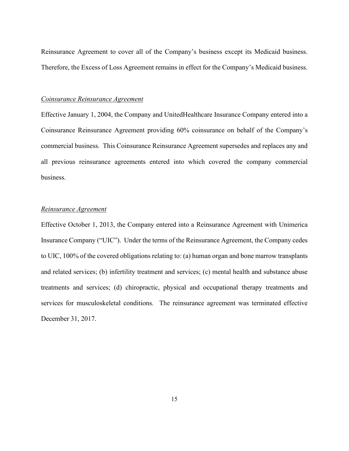Reinsurance Agreement to cover all of the Company's business except its Medicaid business. Therefore, the Excess of Loss Agreement remains in effect for the Company's Medicaid business.

#### *Coinsurance Reinsurance Agreement*

Effective January 1, 2004, the Company and UnitedHealthcare Insurance Company entered into a Coinsurance Reinsurance Agreement providing 60% coinsurance on behalf of the Company's commercial business. This Coinsurance Reinsurance Agreement supersedes and replaces any and all previous reinsurance agreements entered into which covered the company commercial business.

#### *Reinsurance Agreement*

Effective October 1, 2013, the Company entered into a Reinsurance Agreement with Unimerica Insurance Company ("UIC"). Under the terms of the Reinsurance Agreement, the Company cedes to UIC, 100% of the covered obligations relating to: (a) human organ and bone marrow transplants and related services; (b) infertility treatment and services; (c) mental health and substance abuse treatments and services; (d) chiropractic, physical and occupational therapy treatments and services for musculoskeletal conditions. The reinsurance agreement was terminated effective December 31, 2017.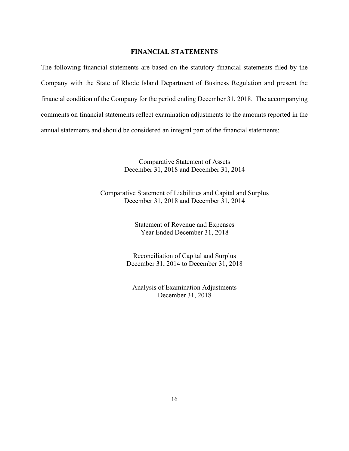#### **FINANCIAL STATEMENTS**

<span id="page-18-0"></span>The following financial statements are based on the statutory financial statements filed by the Company with the State of Rhode Island Department of Business Regulation and present the financial condition of the Company for the period ending December 31, 2018. The accompanying comments on financial statements reflect examination adjustments to the amounts reported in the annual statements and should be considered an integral part of the financial statements:

> Comparative Statement of Assets December 31, 2018 and December 31, 2014

Comparative Statement of Liabilities and Capital and Surplus December 31, 2018 and December 31, 2014

> Statement of Revenue and Expenses Year Ended December 31, 2018

Reconciliation of Capital and Surplus December 31, 2014 to December 31, 2018

Analysis of Examination Adjustments December 31, 2018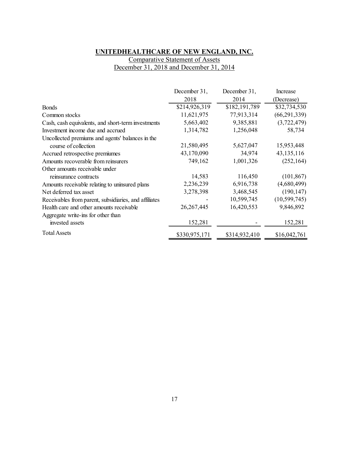# **UNITEDHEALTHCARE OF NEW ENGLAND, INC.**

Comparative Statement of Assets December 31, 2018 and December 31, 2014

<span id="page-19-0"></span>

|                                                       | December 31,  | December 31,  | Increase       |
|-------------------------------------------------------|---------------|---------------|----------------|
|                                                       | 2018          | 2014          | (Decrease)     |
| <b>Bonds</b>                                          | \$214,926,319 | \$182,191,789 | \$32,734,530   |
| Common stocks                                         | 11,621,975    | 77,913,314    | (66, 291, 339) |
| Cash, cash equivalents, and short-term investments    | 5,663,402     | 9,385,881     | (3,722,479)    |
| Investment income due and accrued                     | 1,314,782     | 1,256,048     | 58,734         |
| Uncollected premiums and agents' balances in the      |               |               |                |
| course of collection                                  | 21,580,495    | 5,627,047     | 15,953,448     |
| Accrued retrospective premiumes                       | 43,170,090    | 34,974        | 43, 135, 116   |
| Amounts recoverable from reinsurers                   | 749,162       | 1,001,326     | (252, 164)     |
| Other amounts receivable under                        |               |               |                |
| reinsurance contracts                                 | 14,583        | 116,450       | (101, 867)     |
| Amounts receivable relating to uninsured plans        | 2,236,239     | 6,916,738     | (4,680,499)    |
| Net deferred tax asset                                | 3,278,398     | 3,468,545     | (190, 147)     |
| Receivables from parent, subsidiaries, and affiliates |               | 10,599,745    | (10, 599, 745) |
| Health care and other amounts receivable              | 26, 267, 445  | 16,420,553    | 9,846,892      |
| Aggregate write-ins for other than                    |               |               |                |
| invested assets                                       | 152,281       |               | 152,281        |
| <b>Total Assets</b>                                   | \$330,975,171 | \$314,932,410 | \$16,042,761   |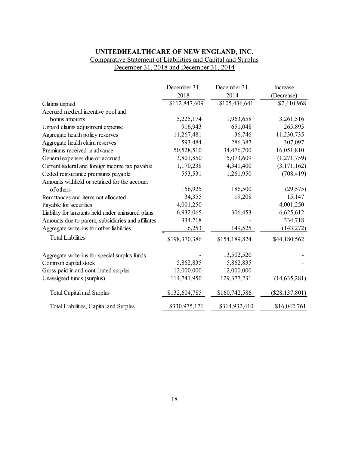## **UNITEDHEALTHCARE OF NEW ENGLAND, INC.** Comparative Statement of Liabilities and Capital and Surplus December 31, 2018 and December 31, 2014

<span id="page-20-0"></span>

|                                                    | December 31,  | December 31,  | Increase         |
|----------------------------------------------------|---------------|---------------|------------------|
|                                                    | 2018          | 2014          | (Decrease)       |
| Claims unpaid                                      | \$112,847,609 | \$105,436,641 | \$7,410,968      |
| Accrued medical incentive pool and                 |               |               |                  |
| bonus amounts                                      | 5,225,174     | 1,963,658     | 3,261,516        |
| Unpaid claims adjustment expense                   | 916,943       | 651,048       | 265,895          |
| Aggregate health policy reserves                   | 11,267,481    | 36,746        | 11,230,735       |
| Aggregate health claim reserves                    | 593,484       | 286,387       | 307,097          |
| Premiums received in advance                       | 50,528,510    | 34,476,700    | 16,051,810       |
| General expenses due or accrued                    | 3,801,850     | 5,073,609     | (1,271,759)      |
| Current federal and foreign income tax payable     | 1,170,238     | 4,341,400     | (3,171,162)      |
| Ceded reinsurance premiums payable                 | 553,531       | 1,261,950     | (708, 419)       |
| Amounts withheld or retained for the account       |               |               |                  |
| of others                                          | 156,925       | 186,500       | (29, 575)        |
| Remittances and items not allocated                | 34,355        | 19,208        | 15,147           |
| Payable for securities                             | 4,001,250     |               | 4,001,250        |
| Liability for amounts held under uninsured plans   | 6,932,065     | 306,453       | 6,625,612        |
| Amounts due to parent, subsidiaries and affiliates | 334,718       |               | 334,718          |
| Aggregate write-ins for other liabilities          | 6,253         | 149,525       | (143, 272)       |
| <b>Total Liabilities</b>                           | \$198,370,386 | \$154,189,824 | \$44,180,562     |
| Aggregate write-ins for special surplus funds      |               | 13,502,520    |                  |
| Common capital stock                               | 5,862,835     | 5,862,835     |                  |
| Gross paid in and contributed surplus              | 12,000,000    | 12,000,000    |                  |
| Unassigned funds (surplus)                         | 114,741,950   | 129,377,231   | (14, 635, 281)   |
| <b>Total Capital and Surplus</b>                   | \$132,604,785 | \$160,742,586 | $(\$28,137,801)$ |
| Total Liabilities, Capital and Surplus             | \$330,975,171 | \$314,932,410 | \$16,042,761     |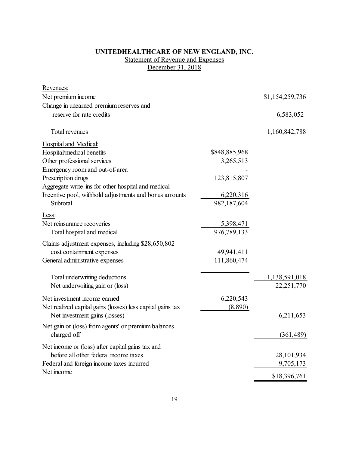#### **UNITEDHEALTHCARE OF NEW ENGLAND, INC.**

### **Statement of Revenue and Expenses** December 31, 2018

<span id="page-21-0"></span>

| Revenues:                                                  |               |                 |
|------------------------------------------------------------|---------------|-----------------|
| Net premium income                                         |               | \$1,154,259,736 |
| Change in unearned premium reserves and                    |               |                 |
| reserve for rate credits                                   |               | 6,583,052       |
| Total revenues                                             |               | 1,160,842,788   |
| <b>Hospital and Medical:</b>                               |               |                 |
| Hospital/medical benefits                                  | \$848,885,968 |                 |
| Other professional services                                | 3,265,513     |                 |
| Emergency room and out-of-area                             |               |                 |
| Prescription drugs                                         | 123,815,807   |                 |
| Aggregate write-ins for other hospital and medical         |               |                 |
| Incentive pool, withhold adjustments and bonus amounts     | 6,220,316     |                 |
| Subtotal                                                   | 982,187,604   |                 |
| Less:                                                      |               |                 |
| Net reinsurance recoveries                                 | 5,398,471     |                 |
| Total hospital and medical                                 | 976,789,133   |                 |
| Claims adjustment expenses, including \$28,650,802         |               |                 |
| cost containment expenses                                  | 49,941,411    |                 |
| General administrative expenses                            | 111,860,474   |                 |
| Total underwriting deductions                              |               | 1,138,591,018   |
| Net underwriting gain or (loss)                            |               | 22,251,770      |
| Net investment income earned                               | 6,220,543     |                 |
| Net realized capital gains (losses) less capital gains tax | (8,890)       |                 |
| Net investment gains (losses)                              |               | 6,211,653       |
| Net gain or (loss) from agents' or premium balances        |               |                 |
| charged off                                                |               | (361, 489)      |
| Net income or (loss) after capital gains tax and           |               |                 |
| before all other federal income taxes                      |               | 28,101,934      |
| Federal and foreign income taxes incurred                  |               | 9,705,173       |
| Net income                                                 |               | \$18,396,761    |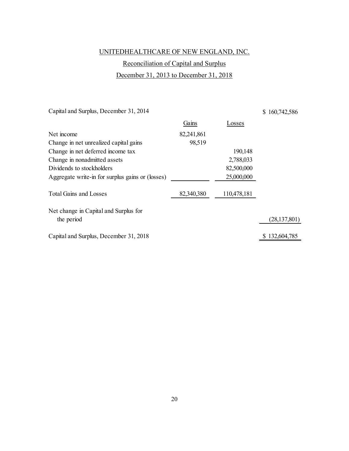# UNITEDHEALTHCARE OF NEW ENGLAND, INC.

# Reconciliation of Capital and Surplus December 31, 2013 to December 31, 2018

<span id="page-22-0"></span>Capital and Surplus, December 31, 2014

\$ 160,742,586

|                                                  | Gains      | Losses      |                |
|--------------------------------------------------|------------|-------------|----------------|
| Net income                                       | 82,241,861 |             |                |
| Change in net unrealized capital gains           | 98,519     |             |                |
| Change in net deferred income tax                |            | 190,148     |                |
| Change in nonadmitted assets                     |            | 2,788,033   |                |
| Dividends to stockholders                        |            | 82,500,000  |                |
| Aggregate write-in for surplus gains or (losses) |            | 25,000,000  |                |
| <b>Total Gains and Losses</b>                    | 82,340,380 | 110,478,181 |                |
| Net change in Capital and Surplus for            |            |             |                |
| the period                                       |            |             | (28, 137, 801) |
| Capital and Surplus, December 31, 2018           |            |             | \$132,604,785  |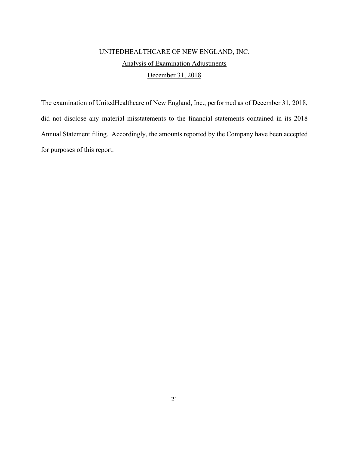# UNITEDHEALTHCARE OF NEW ENGLAND, INC. Analysis of Examination Adjustments December 31, 2018

<span id="page-23-0"></span>The examination of UnitedHealthcare of New England, Inc., performed as of December 31, 2018, did not disclose any material misstatements to the financial statements contained in its 2018 Annual Statement filing. Accordingly, the amounts reported by the Company have been accepted for purposes of this report.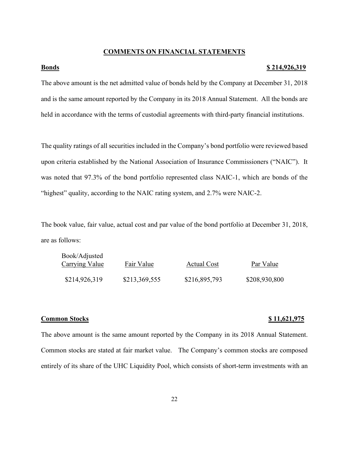#### **COMMENTS ON FINANCIAL STATEMENTS**

#### <span id="page-24-1"></span><span id="page-24-0"></span>**Bonds \$ 214,926,319**

The above amount is the net admitted value of bonds held by the Company at December 31, 2018 and is the same amount reported by the Company in its 2018 Annual Statement. All the bonds are held in accordance with the terms of custodial agreements with third-party financial institutions.

The quality ratings of all securities included in the Company's bond portfolio were reviewed based upon criteria established by the National Association of Insurance Commissioners ("NAIC"). It was noted that 97.3% of the bond portfolio represented class NAIC-1, which are bonds of the "highest" quality, according to the NAIC rating system, and 2.7% were NAIC-2.

The book value, fair value, actual cost and par value of the bond portfolio at December 31, 2018, are as follows:

| Book/Adjusted<br><b>Carrying Value</b> | Fair Value    | <b>Actual Cost</b> | Par Value     |
|----------------------------------------|---------------|--------------------|---------------|
| \$214,926,319                          | \$213,369,555 | \$216,895,793      | \$208,930,800 |

#### <span id="page-24-2"></span>**Common Stocks** \$ 11,621,975

The above amount is the same amount reported by the Company in its 2018 Annual Statement. Common stocks are stated at fair market value. The Company's common stocks are composed entirely of its share of the UHC Liquidity Pool, which consists of short-term investments with an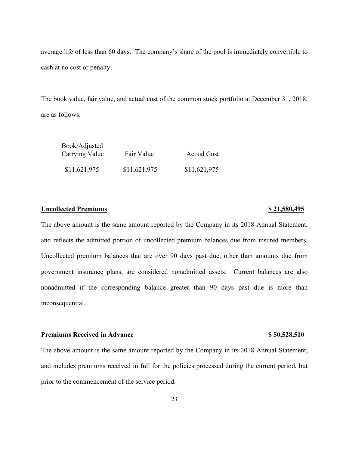average life of less than 60 days. The company's share of the pool is immediately convertible to cash at no cost or penalty.

The book value, fair value, and actual cost of the common stock portfolio at December 31, 2018, are as follows:

| Book/Adjusted<br><b>Carrying Value</b> | Fair Value   | <b>Actual Cost</b> |
|----------------------------------------|--------------|--------------------|
| \$11,621,975                           | \$11,621,975 | \$11,621,975       |

### <span id="page-25-0"></span>**Uncollected Premiums \$ 21,580,495**

The above amount is the same amount reported by the Company in its 2018 Annual Statement, and reflects the admitted portion of uncollected premium balances due from insured members. Uncollected premium balances that are over 90 days past due, other than amounts due from government insurance plans, are considered nonadmitted assets. Current balances are also nonadmitted if the corresponding balance greater than 90 days past due is more than inconsequential.

#### <span id="page-25-1"></span>**Premiums Received in Advance \$ 50,528,510**

The above amount is the same amount reported by the Company in its 2018 Annual Statement, and includes premiums received in full for the policies processed during the current period, but prior to the commencement of the service period.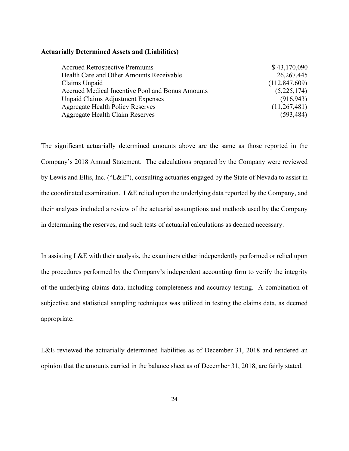#### <span id="page-26-0"></span>**Actuarially Determined Assets and (Liabilities)**

| <b>Accrued Retrospective Premiums</b>            | \$43,170,090    |
|--------------------------------------------------|-----------------|
| Health Care and Other Amounts Receivable         | 26, 267, 445    |
| Claims Unpaid                                    | (112, 847, 609) |
| Accrued Medical Incentive Pool and Bonus Amounts | (5,225,174)     |
| Unpaid Claims Adjustment Expenses                | (916, 943)      |
| Aggregate Health Policy Reserves                 | (11,267,481)    |
| Aggregate Health Claim Reserves                  | (593, 484)      |

The significant actuarially determined amounts above are the same as those reported in the Company's 2018 Annual Statement. The calculations prepared by the Company were reviewed by Lewis and Ellis, Inc. ("L&E"), consulting actuaries engaged by the State of Nevada to assist in the coordinated examination. L&E relied upon the underlying data reported by the Company, and their analyses included a review of the actuarial assumptions and methods used by the Company in determining the reserves, and such tests of actuarial calculations as deemed necessary.

In assisting L&E with their analysis, the examiners either independently performed or relied upon the procedures performed by the Company's independent accounting firm to verify the integrity of the underlying claims data, including completeness and accuracy testing. A combination of subjective and statistical sampling techniques was utilized in testing the claims data, as deemed appropriate.

L&E reviewed the actuarially determined liabilities as of December 31, 2018 and rendered an opinion that the amounts carried in the balance sheet as of December 31, 2018, are fairly stated.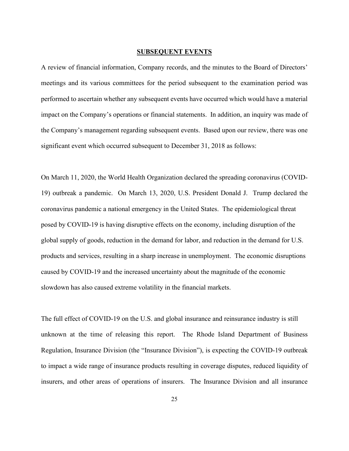#### **SUBSEQUENT EVENTS**

<span id="page-27-0"></span>A review of financial information, Company records, and the minutes to the Board of Directors' meetings and its various committees for the period subsequent to the examination period was performed to ascertain whether any subsequent events have occurred which would have a material impact on the Company's operations or financial statements. In addition, an inquiry was made of the Company's management regarding subsequent events. Based upon our review, there was one significant event which occurred subsequent to December 31, 2018 as follows:

On March 11, 2020, the World Health Organization declared the spreading coronavirus (COVID-19) outbreak a pandemic. On March 13, 2020, U.S. President Donald J. Trump declared the coronavirus pandemic a national emergency in the United States. The epidemiological threat posed by COVID-19 is having disruptive effects on the economy, including disruption of the global supply of goods, reduction in the demand for labor, and reduction in the demand for U.S. products and services, resulting in a sharp increase in unemployment. The economic disruptions caused by COVID-19 and the increased uncertainty about the magnitude of the economic slowdown has also caused extreme volatility in the financial markets.

The full effect of COVID-19 on the U.S. and global insurance and reinsurance industry is still unknown at the time of releasing this report. The Rhode Island Department of Business Regulation, Insurance Division (the "Insurance Division"), is expecting the COVID-19 outbreak to impact a wide range of insurance products resulting in coverage disputes, reduced liquidity of insurers, and other areas of operations of insurers. The Insurance Division and all insurance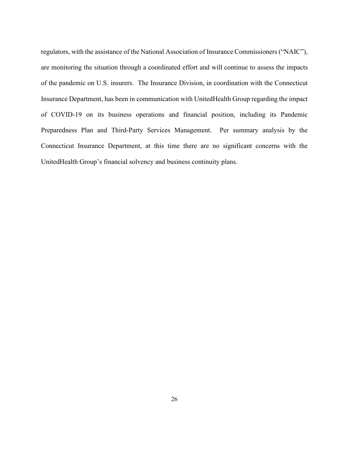regulators, with the assistance of the National Association of Insurance Commissioners ("NAIC"), are monitoring the situation through a coordinated effort and will continue to assess the impacts of the pandemic on U.S. insurers. The Insurance Division, in coordination with the Connecticut Insurance Department, has been in communication with UnitedHealth Group regarding the impact of COVID-19 on its business operations and financial position, including its Pandemic Preparedness Plan and Third-Party Services Management. Per summary analysis by the Connecticut Insurance Department, at this time there are no significant concerns with the UnitedHealth Group's financial solvency and business continuity plans.